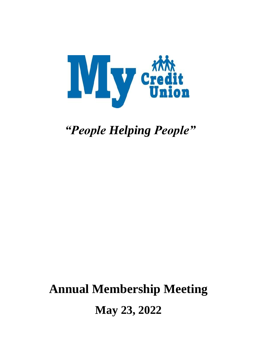

*"People Helping People"*

# **Annual Membership Meeting May 23, 2022**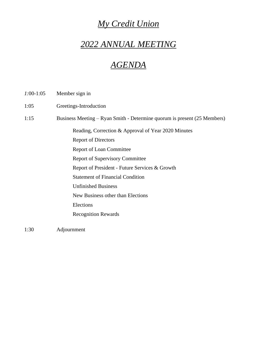### *My Credit Union*

### *2022 ANNUAL MEETING*

### *AGENDA*

| $1:00-1:05$ | Member sign in |  |
|-------------|----------------|--|
|             |                |  |

1:05 Greetings-Introduction

1:15 Business Meeting – Ryan Smith - Determine quorum is present (25 Members)

Reading, Correction & Approval of Year 2020 Minutes

Report of Directors

Report of Loan Committee

Report of Supervisory Committee

Report of President - Future Services & Growth

Statement of Financial Condition

Unfinished Business

New Business other than Elections

Elections

Recognition Rewards

1:30 Adjournment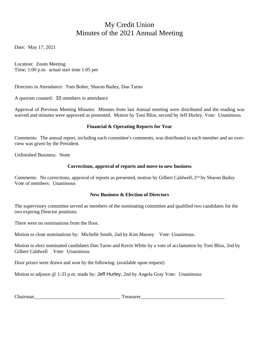### My Credit Union Minutes of the 2021 Annual Meeting

Date: May 17, 2021

Location: Zoom Meeting Time; 1:00 p.m. actual start time 1:05 pm

Directors in Attendance: Tom Bober, Sharon Bailey, Dan Tarno

A quorum counted: 33 members in attendance

Approval of Previous Meeting Minutes: Minutes from last Annual meeting were distributed and the reading was waived and minutes were approved as presented. Motion by Toni Bliss, second by Jeff Hurley. Vote: Unanimous

#### **Financial & Operating Reports for Year**

Comments: The annual report, including each committee's comments, was distributed to each member and an overview was given by the President.

Unfinished Business: None

#### **Corrections, approval of reports and move to new business**

Comments: No corrections, approval of reports as presented, motion by Gilbert Caldwell, 2<sup>nd</sup> by Sharon Bailey Vote of members: Unanimous

#### **New Business & Election of Directors**

The supervisory committee served as members of the nominating committee and qualified two candidates for the two expiring Director positions.

There were no nominations from the floor.

Motion to close nominations by: Michelle Smith, 2nd by Kim Massey Vote: Unanimous.

Motion to elect nominated candidates Dan Tarno and Kevin White by a vote of acclamation by Toni Bliss, 2nd by Gilbert Caldwell Vote: Unanimous

Door prizes were drawn and won by the following: (available upon request)

Motion to adjourn @ 1:33 p.m. made by: Jeff Hurley, 2nd by Angela Gray Vote: Unanimous

Chairman\_\_\_\_\_\_\_\_\_\_\_\_\_\_\_\_\_\_\_\_\_\_\_\_\_\_\_\_\_\_\_\_\_\_\_ Treasurer\_\_\_\_\_\_\_\_\_\_\_\_\_\_\_\_\_\_\_\_\_\_\_\_\_\_\_\_\_\_\_\_\_\_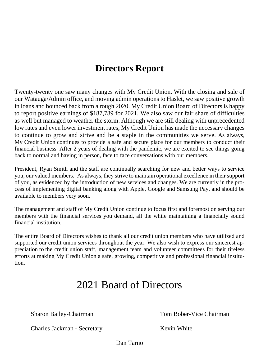### **Directors Report**

Twenty-twenty one saw many changes with My Credit Union. With the closing and sale of our Watauga/Admin office, and moving admin operations to Haslet, we saw positive growth in loans and bounced back from a rough 2020. My Credit Union Board of Directors is happy to report positive earnings of \$187,789 for 2021. We also saw our fair share of difficulties as well but managed to weather the storm. Although we are still dealing with unprecedented low rates and even lower investment rates, My Credit Union has made the necessary changes to continue to grow and strive and be a staple in the communities we serve. As always, My Credit Union continues to provide a safe and secure place for our members to conduct their financial business. After 2 years of dealing with the pandemic, we are excited to see things going back to normal and having in person, face to face conversations with our members.

President, Ryan Smith and the staff are continually searching for new and better ways to service you, our valued members. As always, they strive to maintain operational excellence in their support of you, as evidenced by the introduction of new services and changes. We are currently in the process of implementing digital banking along with Apple, Google and Samsung Pay, and should be available to members very soon.

The management and staff of My Credit Union continue to focus first and foremost on serving our members with the financial services you demand, all the while maintaining a financially sound financial institution.

The entire Board of Directors wishes to thank all our credit union members who have utilized and supported our credit union services throughout the year. We also wish to express our sincerest appreciation to the credit union staff, management team and volunteer committees for their tireless efforts at making My Credit Union a safe, growing, competitive and professional financial institution.

### 2021 Board of Directors

Sharon Bailey-Chairman Tom Bober-Vice Chairman

Charles Jackman - Secretary Kevin White

Dan Tarno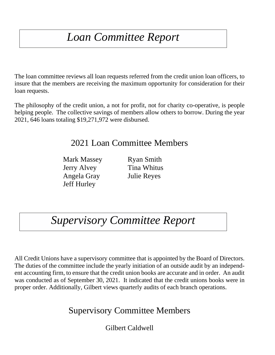# *Loan Committee Report*

The loan committee reviews all loan requests referred from the credit union loan officers, to insure that the members are receiving the maximum opportunity for consideration for their loan requests.

The philosophy of the credit union, a not for profit, not for charity co-operative, is people helping people. The collective savings of members allow others to borrow. During the year 2021, 646 loans totaling \$19,271,972 were disbursed.

### 2021 Loan Committee Members

Mark Massey Ryan Smith Jerry Alvey Tina Whitus Angela Gray Julie Reyes Jeff Hurley

# *Supervisory Committee Report*

All Credit Unions have a supervisory committee that is appointed by the Board of Directors. The duties of the committee include the yearly initiation of an outside audit by an independent accounting firm, to ensure that the credit union books are accurate and in order. An audit was conducted as of September 30, 2021. It indicated that the credit unions books were in proper order. Additionally, Gilbert views quarterly audits of each branch operations.

### Supervisory Committee Members

Gilbert Caldwell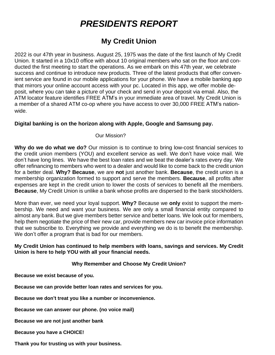### *PRESIDENTS REPORT*

### **My Credit Union**

2022 is our 47th year in business. August 25, 1975 was the date of the first launch of My Credit Union. It started in a 10x10 office with about 10 original members who sat on the floor and conducted the first meeting to start the operations. As we embark on this 47th year, we celebrate success and continue to introduce new products. Three of the latest products that offer convenient service are found in our mobile applications for your phone. We have a mobile banking app that mirrors your online account access with your pc. Located in this app, we offer mobile deposit, where you can take a picture of your check and send in your deposit via email. Also, the ATM locator feature identifies FREE ATM's in your immediate area of travel. My Credit Union is a member of a shared ATM co-op where you have access to over 30,000 FREE ATM's nationwide.

#### **Digital banking is on the horizon along with Apple, Google and Samsung pay.**

#### Our Mission?

**Why do we do what we do?** Our mission is to continue to bring low-cost financial services to the credit union members (YOU) and excellent service as well. We don't have voice mail. We don't have long lines. We have the best loan rates and we beat the dealer's rates every day. We offer refinancing to members who went to a dealer and would like to come back to the credit union for a better deal. **Why? Because**, we are **not** just another bank. **Because**, the credit union is a membership organization formed to support and serve the members. **Because**, all profits after expenses are kept in the credit union to lower the costs of services to benefit all the members. **Because**, My Credit Union is unlike a bank whose profits are dispersed to the bank stockholders.

More than ever, we need your loyal support. **Why?** Because we **only** exist to support the membership. We need and want your business. We are only a small financial entity compared to almost any bank. But we give members better service and better loans. We look out for members, help them negotiate the price of their new car, provide members new car invoice price information that we subscribe to. Everything we provide and everything we do is to benefit the membership. We don't offer a program that is bad for our members.

#### **My Credit Union has continued to help members with loans, savings and services. My Credit Union is here to help YOU with all your financial needs.**

#### **Why Remember and Choose My Credit Union?**

**Because we exist because of you.**

**Because we can provide better loan rates and services for you.**

**Because we don't treat you like a number or inconvenience.**

**Because we can answer our phone. (no voice mail)**

**Because we are not just another bank**

**Because you have a CHOICE!**

**Thank you for trusting us with your business.**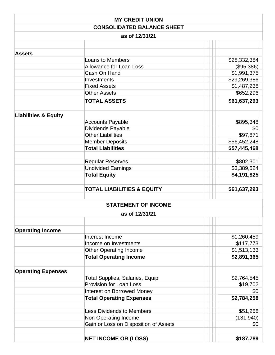|                                 | <b>MY CREDIT UNION</b>                     |                           |
|---------------------------------|--------------------------------------------|---------------------------|
|                                 | <b>CONSOLIDATED BALANCE SHEET</b>          |                           |
|                                 | as of 12/31/21                             |                           |
|                                 |                                            |                           |
| <b>Assets</b>                   |                                            |                           |
|                                 | <b>Loans to Members</b>                    | \$28,332,384              |
|                                 | <b>Allowance for Loan Loss</b>             | (\$95,386)                |
|                                 | Cash On Hand                               | \$1,991,375               |
|                                 | Investments                                | \$29,269,386              |
|                                 | <b>Fixed Assets</b>                        | \$1,487,238               |
|                                 | <b>Other Assets</b><br><b>TOTAL ASSETS</b> | \$652,296<br>\$61,637,293 |
|                                 |                                            |                           |
| <b>Liabilities &amp; Equity</b> |                                            |                           |
|                                 | <b>Accounts Payable</b>                    | \$895,348                 |
|                                 | Dividends Payable                          | \$0                       |
|                                 | <b>Other Liabilities</b>                   | \$97,871                  |
|                                 | <b>Member Deposits</b>                     | \$56,452,248              |
|                                 | <b>Total Liabilities</b>                   | \$57,445,468              |
|                                 | <b>Regular Reserves</b>                    | \$802,301                 |
|                                 | <b>Undivided Earnings</b>                  | \$3,389,524               |
|                                 | <b>Total Equity</b>                        | \$4,191,825               |
|                                 |                                            |                           |
|                                 | <b>TOTAL LIABILITIES &amp; EQUITY</b>      | \$61,637,293              |
|                                 | <b>STATEMENT OF INCOME</b>                 |                           |
|                                 | as of 12/31/21                             |                           |
|                                 |                                            |                           |
| <b>Operating Income</b>         |                                            |                           |
|                                 | Interest Income                            | \$1,260,459               |
|                                 | Income on Investments                      | \$117,773                 |
|                                 | <b>Other Operating Income</b>              | \$1,513,133               |
|                                 | <b>Total Operating Income</b>              | \$2,891,365               |
|                                 |                                            |                           |
| <b>Operating Expenses</b>       |                                            |                           |
|                                 | Total Supplies, Salaries, Equip.           | \$2,764,545               |
|                                 | <b>Provision for Loan Loss</b>             | \$19,702                  |
|                                 | <b>Interest on Borrowed Money</b>          | \$0                       |
|                                 | <b>Total Operating Expenses</b>            | \$2,784,258               |
|                                 | <b>Less Dividends to Members</b>           | \$51,258                  |
|                                 | Non Operating Income                       | (131, 940)                |
|                                 | Gain or Loss on Disposition of Assets      | \$0                       |
|                                 |                                            |                           |
|                                 | <b>NET INCOME OR (LOSS)</b>                | \$187,789                 |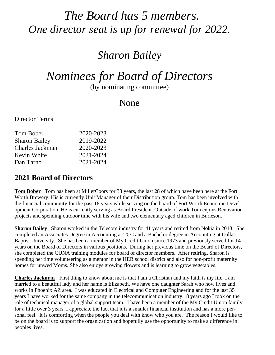# *The Board has 5 members. One director seat is up for renewal for 2022.*

### *Sharon Bailey*

# *Nominees for Board of Directors*

(by nominating committee)

### None

Director Terms

| 2020-2023 |
|-----------|
| 2019-2022 |
| 2020-2023 |
| 2021-2024 |
| 2021-2024 |
|           |

### **2021 Board of Directors**

**Tom Bober** Tom has been at MillerCoors for 33 years, the last 28 of which have been here at the Fort Worth Brewery. His is currently Unit Manager of their Distribution group. Tom has been involved with the financial community for the past 18 years while serving on the board of Fort Worth Economic Development Corporation. He is currently serving as Board President. Outside of work Tom enjoys Renovation projects and spending outdoor time with his wife and two elementary aged children in Burleson.

**Sharon Bailey** Sharon worked in the Telecom industry for 41 years and retired from Nokia in 2018. She completed an Associates Degree in Accounting at TCC and a Bachelor degree in Accounting at Dallas Baptist University. She has been a member of My Credit Union since 1973 and previously served for 14 years on the Board of Directors in various positions. During her previous time on the Board of Directors, she completed the CUNA training modules for board of director members. After retiring, Sharon is spending her time volunteering as a mentor in the HEB school district and also for non-profit maternity homes for unwed Moms. She also enjoys growing flowers and is learning to grow vegetables.

**Charles Jackman** First thing to know about me is that I am a Christian and my faith is my life. I am married to a beautiful lady and her name is Elizabeth. We have one daughter Sarah who now lives and works in Phoenix AZ area. I was educated in Electrical and Computer Engineering and for the last 35 years I have worked for the same company in the telecommunication industry. 8 years ago I took on the role of technical manager of a global support team. I have been a member of the My Credit Union family for a little over 3 years. I appreciate the fact that it is a smaller financial institution and has a more personal feel. It is comforting when the people you deal with know who you are. The reason I would like to be on the board is to support the organization and hopefully use the opportunity to make a difference in peoples lives.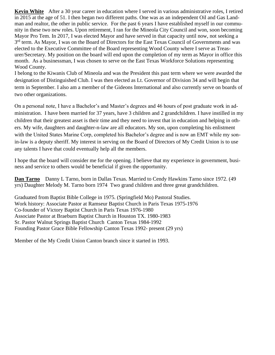**Kevin White** After a 30 year career in education where I served in various administrative roles, I retired in 2015 at the age of 51. I then began two different paths. One was as an independent Oil and Gas Landman and realtor, the other in public service. For the past 6 years I have established myself in our community in these two new roles. Upon retirement, I ran for the Mineola City Council and won, soon becoming Mayor Pro Tem. In 2017, I was elected Mayor and have served in that capacity until now, not seeking a 3<sup>rd</sup> term. As Mayor, I was on the Board of Directors for the East Texas Council of Governments and was elected to the Executive Committee of the Board representing Wood County where I serve as Treasurer/Secretary. My position on the board will end upon the completion of my term as Mayor in office this month. As a businessman, I was chosen to serve on the East Texas Workforce Solutions representing Wood County.

I belong to the Kiwanis Club of Mineola and was the President this past term where we were awarded the designation of Distinguished Club. I was then elected as Lt. Governor of Division 34 and will begin that term in September. I also am a member of the Gideons International and also currently serve on boards of two other organizations.

On a personal note, I have a Bachelor's and Master's degrees and 46 hours of post graduate work in administration. I have been married for 37 years, have 3 children and 2 grandchildren. I have instilled in my children that their greatest asset is their time and they need to invest that in education and helping in others. My wife, daughters and daughter-n-law are all educators. My son, upon completing his enlistment with the United States Marine Corp, completed his Bachelor's degree and is now an EMT while my sonin-law is a deputy sheriff. My interest in serving on the Board of Directors of My Credit Union is to use any talents I have that could eventually help all the members.

I hope that the board will consider me for the opening. I believe that my experience in government, business and service to others would be beneficial if given the opportunity.

**Dan Tarno** Danny L Tarno, born in Dallas Texas. Married to Cendy Hawkins Tarno since 1972. (49 yrs) Daughter Melody M. Tarno born 1974 Two grand children and three great grandchildren.

Graduated from Baptist Bible College in 1975. (Springfield Mo) Pastoral Studies. Work history: Associate Pastor at Ramseur Baptist Church in Paris Texas 1975-1976 Co-founder of Victory Baptist Church in Paris Texas 1976-1980 Associate Pastor at Braeburn Baptist Church in Houston TX. 1980-1983 Sr. Pastor Walnut Springs Baptist Church Canton Texas 1984-1992 Founding Pastor Grace Bible Fellowship Canton Texas 1992- present (29 yrs)

Member of the My Credit Union Canton branch since it started in 1993.